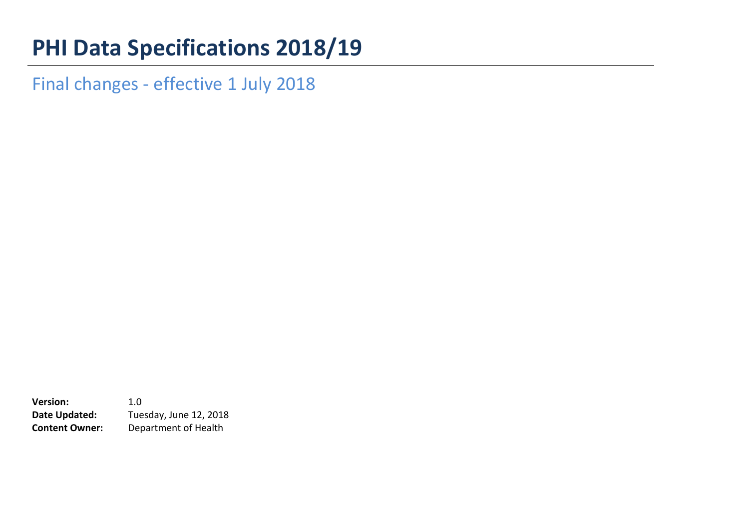## **PHI Data Specifications 2018/19**

Final changes - effective 1 July 2018

**Version:** 1.0 **Date Updated:** Tuesday, June 12, 2018 **Content Owner:** Department of Health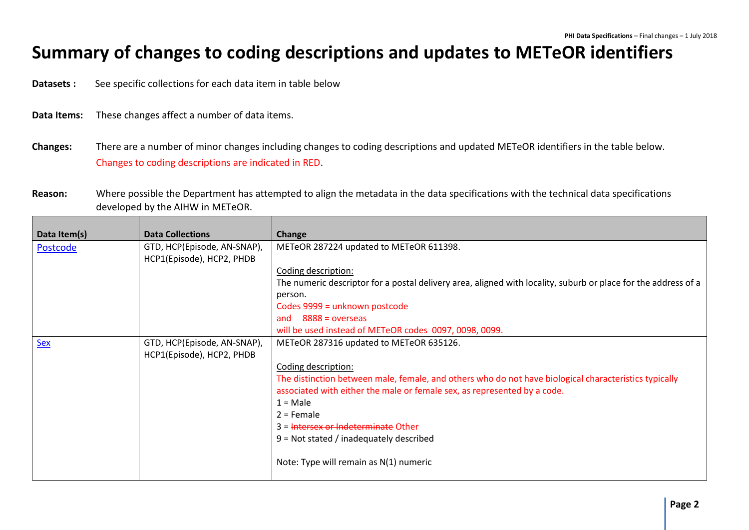## **Summary of changes to coding descriptions and updates to METeOR identifiers**

**Datasets :** See specific collections for each data item in table below

- **Data Items:** These changes affect a number of data items.
- **Changes:** There are a number of minor changes including changes to coding descriptions and updated METeOR identifiers in the table below. Changes to coding descriptions are indicated in RED.
- **Reason:** Where possible the Department has attempted to align the metadata in the data specifications with the technical data specifications developed by the AIHW in METeOR.

| Data Item(s) | <b>Data Collections</b>     | Change                                                                                                         |
|--------------|-----------------------------|----------------------------------------------------------------------------------------------------------------|
| Postcode     | GTD, HCP(Episode, AN-SNAP), | METeOR 287224 updated to METeOR 611398.                                                                        |
|              | HCP1(Episode), HCP2, PHDB   |                                                                                                                |
|              |                             | Coding description:                                                                                            |
|              |                             | The numeric descriptor for a postal delivery area, aligned with locality, suburb or place for the address of a |
|              |                             | person.                                                                                                        |
|              |                             | Codes 9999 = unknown postcode                                                                                  |
|              |                             | $8888 = 0$ verseas<br>and                                                                                      |
|              |                             | will be used instead of METeOR codes 0097, 0098, 0099.                                                         |
| <u>Sex</u>   | GTD, HCP(Episode, AN-SNAP), | METeOR 287316 updated to METeOR 635126.                                                                        |
|              | HCP1(Episode), HCP2, PHDB   |                                                                                                                |
|              |                             | Coding description:                                                                                            |
|              |                             | The distinction between male, female, and others who do not have biological characteristics typically          |
|              |                             | associated with either the male or female sex, as represented by a code.                                       |
|              |                             | $1 = Male$                                                                                                     |
|              |                             | $2$ = Female                                                                                                   |
|              |                             | 3 = Intersex or Indeterminate Other                                                                            |
|              |                             | $9$ = Not stated / inadequately described                                                                      |
|              |                             | Note: Type will remain as N(1) numeric                                                                         |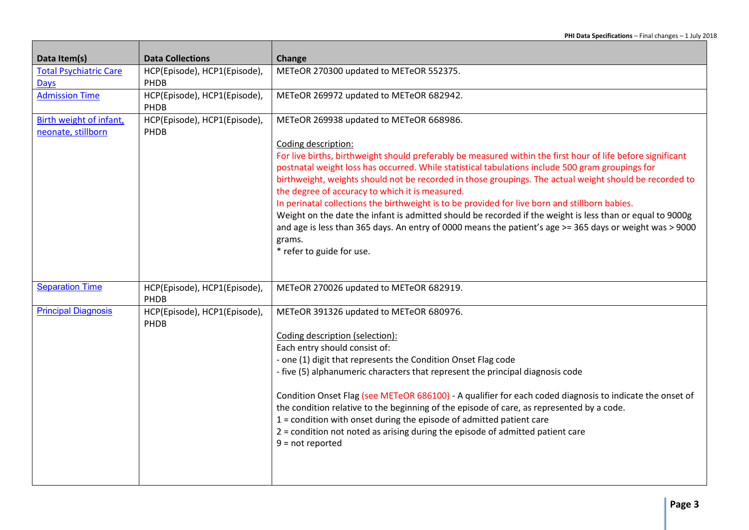| Data Item(s)                                  | <b>Data Collections</b>              | Change                                                                                                                                                                                                                                                                                                                                                                                                                                                                                                                                                                                                                                                                                                                                                                                                            |
|-----------------------------------------------|--------------------------------------|-------------------------------------------------------------------------------------------------------------------------------------------------------------------------------------------------------------------------------------------------------------------------------------------------------------------------------------------------------------------------------------------------------------------------------------------------------------------------------------------------------------------------------------------------------------------------------------------------------------------------------------------------------------------------------------------------------------------------------------------------------------------------------------------------------------------|
| <b>Total Psychiatric Care</b><br><b>Days</b>  | HCP(Episode), HCP1(Episode),<br>PHDB | METeOR 270300 updated to METeOR 552375.                                                                                                                                                                                                                                                                                                                                                                                                                                                                                                                                                                                                                                                                                                                                                                           |
| <b>Admission Time</b>                         | HCP(Episode), HCP1(Episode),<br>PHDB | METeOR 269972 updated to METeOR 682942.                                                                                                                                                                                                                                                                                                                                                                                                                                                                                                                                                                                                                                                                                                                                                                           |
| Birth weight of infant,<br>neonate, stillborn | HCP(Episode), HCP1(Episode),<br>PHDB | METeOR 269938 updated to METeOR 668986.<br>Coding description:<br>For live births, birthweight should preferably be measured within the first hour of life before significant<br>postnatal weight loss has occurred. While statistical tabulations include 500 gram groupings for<br>birthweight, weights should not be recorded in those groupings. The actual weight should be recorded to<br>the degree of accuracy to which it is measured.<br>In perinatal collections the birthweight is to be provided for live born and stillborn babies.<br>Weight on the date the infant is admitted should be recorded if the weight is less than or equal to 9000g<br>and age is less than 365 days. An entry of 0000 means the patient's age >= 365 days or weight was > 9000<br>grams.<br>* refer to guide for use. |
|                                               |                                      |                                                                                                                                                                                                                                                                                                                                                                                                                                                                                                                                                                                                                                                                                                                                                                                                                   |
| <b>Separation Time</b>                        | HCP(Episode), HCP1(Episode),<br>PHDB | METeOR 270026 updated to METeOR 682919.                                                                                                                                                                                                                                                                                                                                                                                                                                                                                                                                                                                                                                                                                                                                                                           |
| <b>Principal Diagnosis</b>                    | HCP(Episode), HCP1(Episode),<br>PHDB | METeOR 391326 updated to METeOR 680976.<br>Coding description (selection):<br>Each entry should consist of:<br>- one (1) digit that represents the Condition Onset Flag code<br>- five (5) alphanumeric characters that represent the principal diagnosis code<br>Condition Onset Flag (see METeOR 686100) - A qualifier for each coded diagnosis to indicate the onset of<br>the condition relative to the beginning of the episode of care, as represented by a code.<br>$1 =$ condition with onset during the episode of admitted patient care<br>2 = condition not noted as arising during the episode of admitted patient care<br>$9 = not reported$                                                                                                                                                         |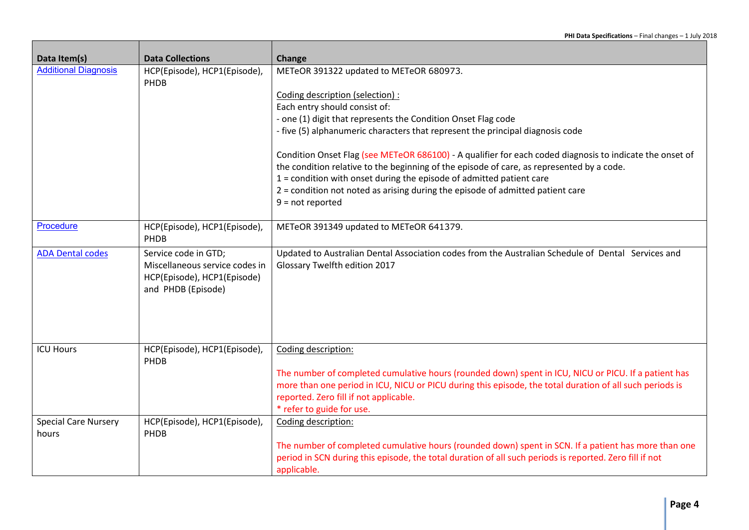| Data Item(s)                         | <b>Data Collections</b>                                                                                     | Change                                                                                                                                                                                                                                                     |
|--------------------------------------|-------------------------------------------------------------------------------------------------------------|------------------------------------------------------------------------------------------------------------------------------------------------------------------------------------------------------------------------------------------------------------|
| <b>Additional Diagnosis</b>          | HCP(Episode), HCP1(Episode),<br>PHDB                                                                        | METeOR 391322 updated to METeOR 680973.                                                                                                                                                                                                                    |
|                                      |                                                                                                             | Coding description (selection) :                                                                                                                                                                                                                           |
|                                      |                                                                                                             | Each entry should consist of:                                                                                                                                                                                                                              |
|                                      |                                                                                                             | - one (1) digit that represents the Condition Onset Flag code                                                                                                                                                                                              |
|                                      |                                                                                                             | - five (5) alphanumeric characters that represent the principal diagnosis code                                                                                                                                                                             |
|                                      |                                                                                                             | Condition Onset Flag (see METeOR 686100) - A qualifier for each coded diagnosis to indicate the onset of                                                                                                                                                   |
|                                      |                                                                                                             | the condition relative to the beginning of the episode of care, as represented by a code.                                                                                                                                                                  |
|                                      |                                                                                                             | 1 = condition with onset during the episode of admitted patient care                                                                                                                                                                                       |
|                                      |                                                                                                             | 2 = condition not noted as arising during the episode of admitted patient care                                                                                                                                                                             |
|                                      |                                                                                                             | $9 = not reported$                                                                                                                                                                                                                                         |
| Procedure                            | HCP(Episode), HCP1(Episode),<br>PHDB                                                                        | METeOR 391349 updated to METeOR 641379.                                                                                                                                                                                                                    |
| <b>ADA Dental codes</b>              | Service code in GTD;<br>Miscellaneous service codes in<br>HCP(Episode), HCP1(Episode)<br>and PHDB (Episode) | Updated to Australian Dental Association codes from the Australian Schedule of Dental Services and<br>Glossary Twelfth edition 2017                                                                                                                        |
| <b>ICU Hours</b>                     | HCP(Episode), HCP1(Episode),                                                                                | Coding description:                                                                                                                                                                                                                                        |
|                                      | PHDB                                                                                                        |                                                                                                                                                                                                                                                            |
|                                      |                                                                                                             | The number of completed cumulative hours (rounded down) spent in ICU, NICU or PICU. If a patient has<br>more than one period in ICU, NICU or PICU during this episode, the total duration of all such periods is<br>reported. Zero fill if not applicable. |
|                                      |                                                                                                             | * refer to guide for use.                                                                                                                                                                                                                                  |
| <b>Special Care Nursery</b><br>hours | HCP(Episode), HCP1(Episode),<br>PHDB                                                                        | Coding description:                                                                                                                                                                                                                                        |
|                                      |                                                                                                             | The number of completed cumulative hours (rounded down) spent in SCN. If a patient has more than one                                                                                                                                                       |
|                                      |                                                                                                             | period in SCN during this episode, the total duration of all such periods is reported. Zero fill if not                                                                                                                                                    |
|                                      |                                                                                                             | applicable.                                                                                                                                                                                                                                                |